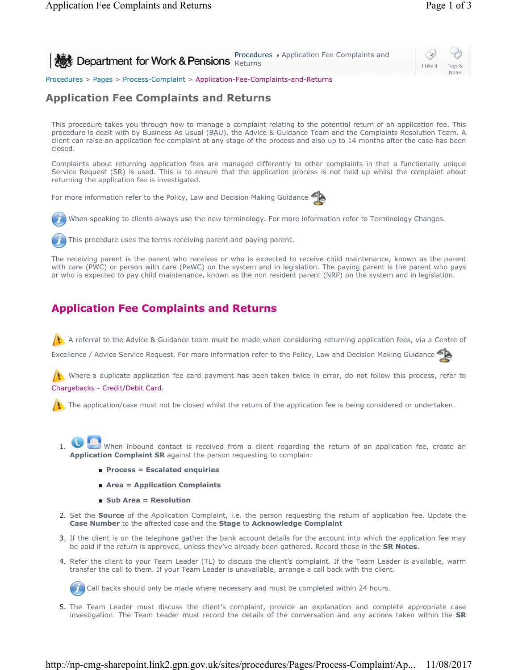Procedures + Application Fee Complaints and **Department for Work & Pensions**  $R$  returns  $R$  Application i de Complaints and



Procedures > Pages > Process-Complaint > Application-Fee-Complaints-and-Returns

## **Application Fee Complaints and Returns**

This procedure takes you through how to manage a complaint relating to the potential return of an application fee. This procedure is dealt with by Business As Usual (BAU), the Advice & Guidance Team and the Complaints Resolution Team. A client can raise an application fee complaint at any stage of the process and also up to 14 months after the case has been closed.

Complaints about returning application fees are managed differently to other complaints in that a functionally unique Service Request (SR) is used. This is to ensure that the application process is not held up whilst the complaint about returning the application fee is investigated.

For more information refer to the Policy, Law and Decision Making Guidance





The receiving parent is the parent who receives or who is expected to receive child maintenance, known as the parent with care (PWC) or person with care (PeWC) on the system and in legislation. The paying parent is the parent who pays or who is expected to pay child maintenance, known as the non resident parent (NRP) on the system and in legislation.

# **Application Fee Complaints and Returns**

A referral to the Advice & Guidance team must be made when considering returning application fees, via a Centre of

Excellence / Advice Service Request. For more information refer to the Policy, Law and Decision Making Guidance

Where a duplicate application fee card payment has been taken twice in error, do not follow this process, refer to Chargebacks - Credit/Debit Card.

 $\left| \cdot \right|$ . The application/case must not be closed whilst the return of the application fee is being considered or undertaken.

- When inbound contact is received from a client regarding the return of an application fee, create an **Application Complaint SR** against the person requesting to complain: 1.
	- **Process = Escalated enquiries**
	- **Area = Application Complaints**
	- **Sub Area = Resolution**
- 2. Set the **Source** of the Application Complaint, i.e. the person requesting the return of application fee. Update the **Case Number** to the affected case and the **Stage** to **Acknowledge Complaint**
- 3. If the client is on the telephone gather the bank account details for the account into which the application fee may be paid if the return is approved, unless they've already been gathered. Record these in the **SR Notes**.
- 4. Refer the client to your Team Leader (TL) to discuss the client's complaint. If the Team Leader is available, warm transfer the call to them. If your Team Leader is unavailable, arrange a call back with the client.

Call backs should only be made where necessary and must be completed within 24 hours.

5. The Team Leader must discuss the client's complaint, provide an explanation and complete appropriate case investigation. The Team Leader must record the details of the conversation and any actions taken within the **SR**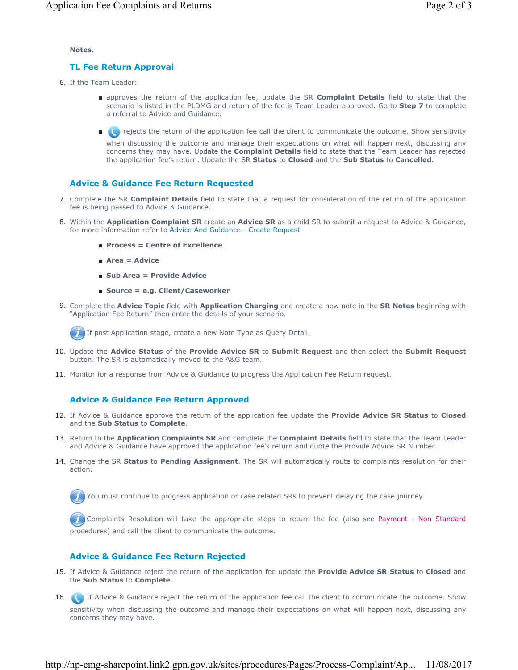#### **Notes**.

#### **TL Fee Return Approval**

- 6. If the Team Leader:
	- approves the return of the application fee, update the SR **Complaint Details** field to state that the scenario is listed in the PLDMG and return of the fee is Team Leader approved. Go to **Step 7** to complete a referral to Advice and Guidance.
	- ● rejects the return of the application fee call the client to communicate the outcome. Show sensitivity

when discussing the outcome and manage their expectations on what will happen next, discussing any concerns they may have. Update the **Complaint Details** field to state that the Team Leader has rejected the application fee's return. Update the SR **Status** to **Closed** and the **Sub Status** to **Cancelled**.

#### **Advice & Guidance Fee Return Requested**

- 7. Complete the SR **Complaint Details** field to state that a request for consideration of the return of the application fee is being passed to Advice & Guidance.
- 8. Within the **Application Complaint SR** create an **Advice SR** as a child SR to submit a request to Advice & Guidance, for more information refer to Advice And Guidance - Create Request
	- **Process = Centre of Excellence**
	- **Area = Advice**
	- **Sub Area = Provide Advice**
	- **Source = e.g. Client/Caseworker**
- **9.** Complete the Advice Topic field with Application Charging and create a new note in the SR Notes beginning with "Application Fee Return" then enter the details of your scenario.

If post Application stage, create a new Note Type as Query Detail.

- 10. Update the Advice Status of the Provide Advice SR to Submit Request and then select the Submit Request button. The SR is automatically moved to the A&G team.
- 11. Monitor for a response from Advice & Guidance to progress the Application Fee Return request.

#### **Advice & Guidance Fee Return Approved**

- If Advice & Guidance approve the return of the application fee update the **Provide Advice SR Status** to **Closed**  12. and the **Sub Status** to **Complete**.
- 13. Return to the **Application Complaints SR** and complete the **Complaint Details** field to state that the Team Leader and Advice & Guidance have approved the application fee's return and quote the Provide Advice SR Number.
- 14. Change the SR **Status** to **Pending Assignment**. The SR will automatically route to complaints resolution for their action.

You must continue to progress application or case related SRs to prevent delaying the case journey.

 Complaints Resolution will take the appropriate steps to return the fee (also see Payment - Non Standard procedures) and call the client to communicate the outcome.

### **Advice & Guidance Fee Return Rejected**

- If Advice & Guidance reject the return of the application fee update the **Provide Advice SR Status** to **Closed** and 15. the **Sub Status** to **Complete**.
- 16. If Advice & Guidance reject the return of the application fee call the client to communicate the outcome. Show sensitivity when discussing the outcome and manage their expectations on what will happen next, discussing any concerns they may have.